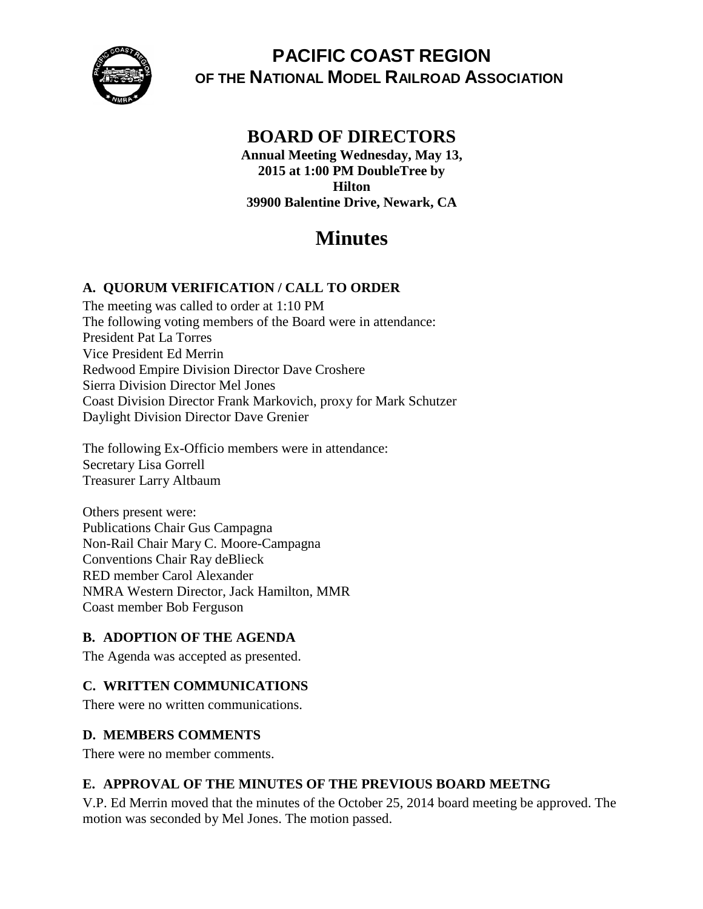

# **PACIFIC COAST REGION OF THE NATIONAL MODEL RAILROAD ASSOCIATION**

# **BOARD OF DIRECTORS**

**Annual Meeting Wednesday, May 13, 2015 at 1:00 PM DoubleTree by Hilton 39900 Balentine Drive, Newark, CA**

# **Minutes**

# **A. QUORUM VERIFICATION / CALL TO ORDER**

The meeting was called to order at 1:10 PM The following voting members of the Board were in attendance: President Pat La Torres Vice President Ed Merrin Redwood Empire Division Director Dave Croshere Sierra Division Director Mel Jones Coast Division Director Frank Markovich, proxy for Mark Schutzer Daylight Division Director Dave Grenier

The following Ex-Officio members were in attendance: Secretary Lisa Gorrell Treasurer Larry Altbaum

Others present were: Publications Chair Gus Campagna Non-Rail Chair Mary C. Moore-Campagna Conventions Chair Ray deBlieck RED member Carol Alexander NMRA Western Director, Jack Hamilton, MMR Coast member Bob Ferguson

## **B. ADOPTION OF THE AGENDA**

The Agenda was accepted as presented.

## **C. WRITTEN COMMUNICATIONS**

There were no written communications.

## **D. MEMBERS COMMENTS**

There were no member comments.

## **E. APPROVAL OF THE MINUTES OF THE PREVIOUS BOARD MEETNG**

V.P. Ed Merrin moved that the minutes of the October 25, 2014 board meeting be approved. The motion was seconded by Mel Jones. The motion passed.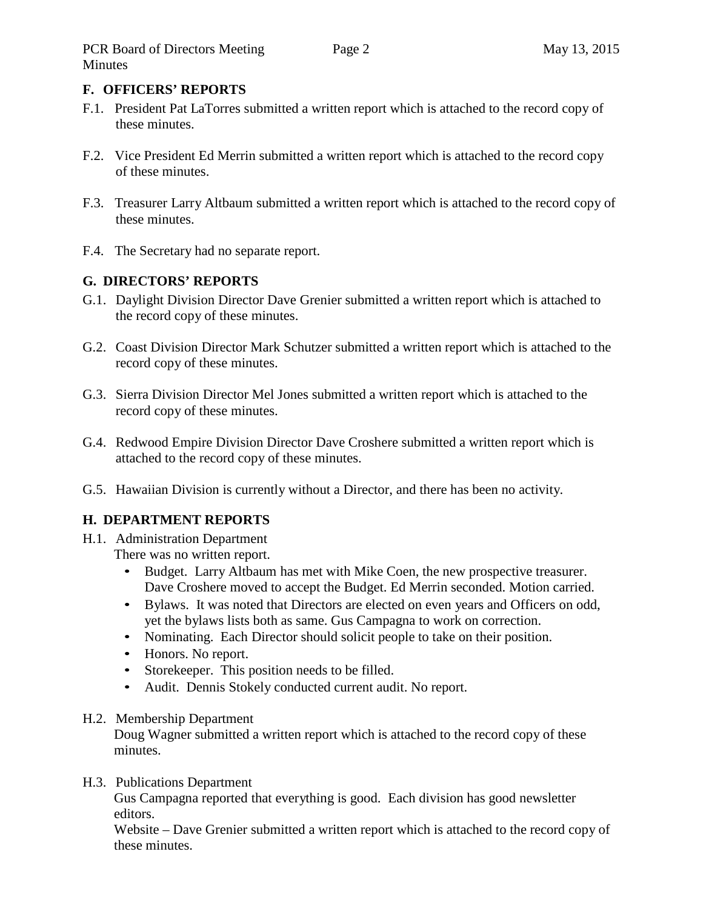## **F. OFFICERS' REPORTS**

- F.1. President Pat LaTorres submitted a written report which is attached to the record copy of these minutes.
- F.2. Vice President Ed Merrin submitted a written report which is attached to the record copy of these minutes.
- F.3. Treasurer Larry Altbaum submitted a written report which is attached to the record copy of these minutes.
- F.4. The Secretary had no separate report.

# **G. DIRECTORS' REPORTS**

- G.1. Daylight Division Director Dave Grenier submitted a written report which is attached to the record copy of these minutes.
- G.2. Coast Division Director Mark Schutzer submitted a written report which is attached to the record copy of these minutes.
- G.3. Sierra Division Director Mel Jones submitted a written report which is attached to the record copy of these minutes.
- G.4. Redwood Empire Division Director Dave Croshere submitted a written report which is attached to the record copy of these minutes.
- G.5. Hawaiian Division is currently without a Director, and there has been no activity.

# **H. DEPARTMENT REPORTS**

- H.1. Administration Department There was no written report.
	- Budget. Larry Altbaum has met with Mike Coen, the new prospective treasurer. Dave Croshere moved to accept the Budget. Ed Merrin seconded. Motion carried.
	- Bylaws. It was noted that Directors are elected on even years and Officers on odd, yet the bylaws lists both as same. Gus Campagna to work on correction.
	- Nominating. Each Director should solicit people to take on their position.
	- Honors. No report.
	- Storekeeper. This position needs to be filled.
	- Audit. Dennis Stokely conducted current audit. No report.

## H.2. Membership Department

Doug Wagner submitted a written report which is attached to the record copy of these minutes.

## H.3. Publications Department

Gus Campagna reported that everything is good. Each division has good newsletter editors.

Website – Dave Grenier submitted a written report which is attached to the record copy of these minutes.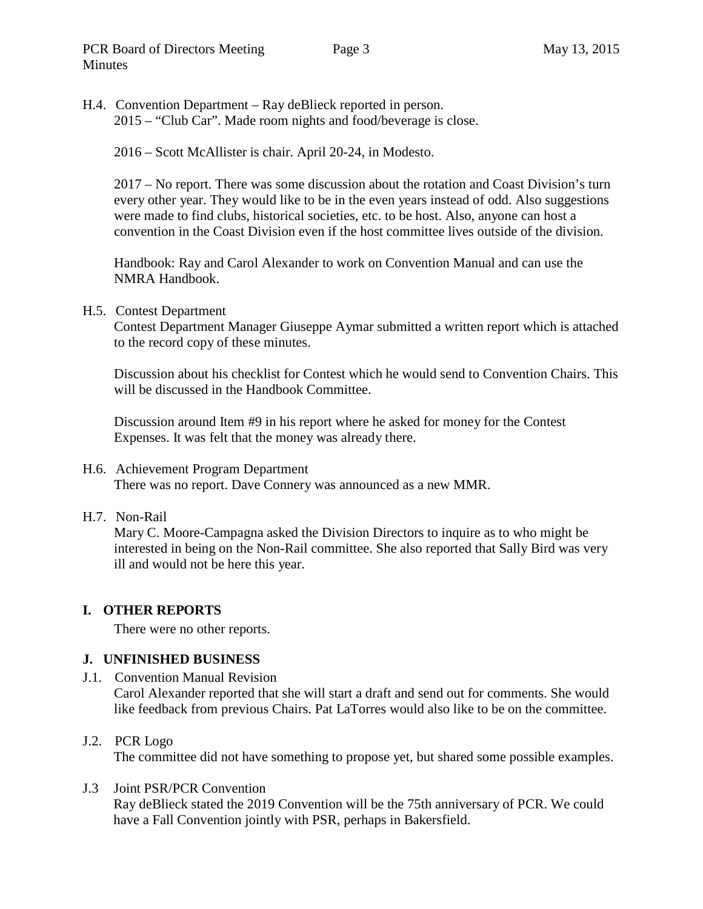H.4. Convention Department – Ray deBlieck reported in person. 2015 – "Club Car". Made room nights and food/beverage is close.

2016 – Scott McAllister is chair. April 20-24, in Modesto.

2017 – No report. There was some discussion about the rotation and Coast Division's turn every other year. They would like to be in the even years instead of odd. Also suggestions were made to find clubs, historical societies, etc. to be host. Also, anyone can host a convention in the Coast Division even if the host committee lives outside of the division.

Handbook: Ray and Carol Alexander to work on Convention Manual and can use the NMRA Handbook.

H.5. Contest Department

Contest Department Manager Giuseppe Aymar submitted a written report which is attached to the record copy of these minutes.

Discussion about his checklist for Contest which he would send to Convention Chairs. This will be discussed in the Handbook Committee.

Discussion around Item #9 in his report where he asked for money for the Contest Expenses. It was felt that the money was already there.

### H.6. Achievement Program Department

There was no report. Dave Connery was announced as a new MMR.

### H.7. Non-Rail

Mary C. Moore-Campagna asked the Division Directors to inquire as to who might be interested in being on the Non-Rail committee. She also reported that Sally Bird was very ill and would not be here this year.

### **I. OTHER REPORTS**

There were no other reports.

### **J. UNFINISHED BUSINESS**

J.1. Convention Manual Revision Carol Alexander reported that she will start a draft and send out for comments. She would like feedback from previous Chairs. Pat LaTorres would also like to be on the committee.

### J.2. PCR Logo

The committee did not have something to propose yet, but shared some possible examples.

J.3 Joint PSR/PCR Convention

Ray deBlieck stated the 2019 Convention will be the 75th anniversary of PCR. We could have a Fall Convention jointly with PSR, perhaps in Bakersfield.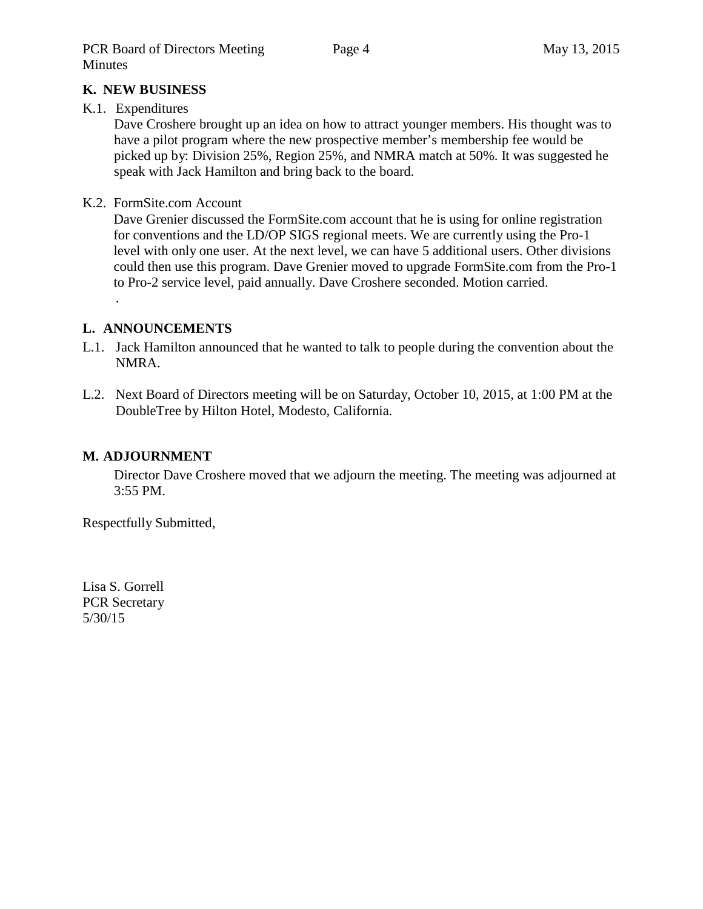### **K. NEW BUSINESS**

### K.1. Expenditures

Dave Croshere brought up an idea on how to attract younger members. His thought was to have a pilot program where the new prospective member's membership fee would be picked up by: Division 25%, Region 25%, and NMRA match at 50%. It was suggested he speak with Jack Hamilton and bring back to the board.

### K.2. FormSite.com Account

Dave Grenier discussed the FormSite.com account that he is using for online registration for conventions and the LD/OP SIGS regional meets. We are currently using the Pro-1 level with only one user. At the next level, we can have 5 additional users. Other divisions could then use this program. Dave Grenier moved to upgrade FormSite.com from the Pro-1 to Pro-2 service level, paid annually. Dave Croshere seconded. Motion carried.

### **L. ANNOUNCEMENTS**

.

- L.1. Jack Hamilton announced that he wanted to talk to people during the convention about the NMRA.
- L.2. Next Board of Directors meeting will be on Saturday, October 10, 2015, at 1:00 PM at the DoubleTree by Hilton Hotel, Modesto, California.

### **M. ADJOURNMENT**

Director Dave Croshere moved that we adjourn the meeting. The meeting was adjourned at 3:55 PM.

Respectfully Submitted,

Lisa S. Gorrell PCR Secretary 5/30/15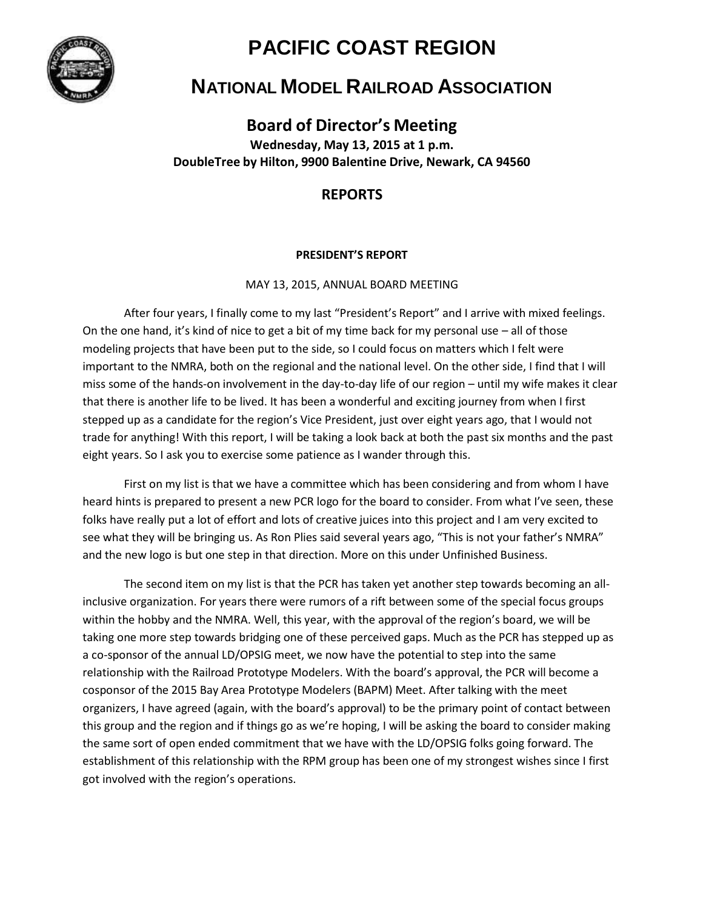

# **PACIFIC COAST REGION**

# **NATIONAL MODEL RAILROAD ASSOCIATION**

**Board of Director's Meeting**

**Wednesday, May 13, 2015 at 1 p.m. DoubleTree by Hilton, 9900 Balentine Drive, Newark, CA 94560**

## **REPORTS**

### **PRESIDENT'S REPORT**

MAY 13, 2015, ANNUAL BOARD MEETING

After four years, I finally come to my last "President's Report" and I arrive with mixed feelings. On the one hand, it's kind of nice to get a bit of my time back for my personal use  $-$  all of those modeling projects that have been put to the side, so I could focus on matters which I felt were important to the NMRA, both on the regional and the national level. On the other side, I find that I will miss some of the hands-on involvement in the day-to-day life of our region – until my wife makes it clear that there is another life to be lived. It has been a wonderful and exciting journey from when I first stepped up as a candidate for the region's Vice President, just over eight years ago, that I would not trade for anything! With this report, I will be taking a look back at both the past six months and the past eight years. So I ask you to exercise some patience as I wander through this.

First on my list is that we have a committee which has been considering and from whom I have heard hints is prepared to present a new PCR logo for the board to consider. From what I've seen, these folks have really put a lot of effort and lots of creative juices into this project and I am very excited to see what they will be bringing us. As Ron Plies said several years ago, "This is not your father's NMRA" and the new logo is but one step in that direction. More on this under Unfinished Business.

The second item on my list is that the PCR has taken yet another step towards becoming an allinclusive organization. For years there were rumors of a rift between some of the special focus groups within the hobby and the NMRA. Well, this year, with the approval of the region's board, we will be taking one more step towards bridging one of these perceived gaps. Much as the PCR has stepped up as a co-sponsor of the annual LD/OPSIG meet, we now have the potential to step into the same relationship with the Railroad Prototype Modelers. With the board's approval, the PCR will become a cosponsor of the 2015 Bay Area Prototype Modelers (BAPM) Meet. After talking with the meet organizers, I have agreed (again, with the board's approval) to be the primary point of contact between this group and the region and if things go as we're hoping, I will be asking the board to consider making the same sort of open ended commitment that we have with the LD/OPSIG folks going forward. The establishment of this relationship with the RPM group has been one of my strongest wishes since I first got involved with the region's operations.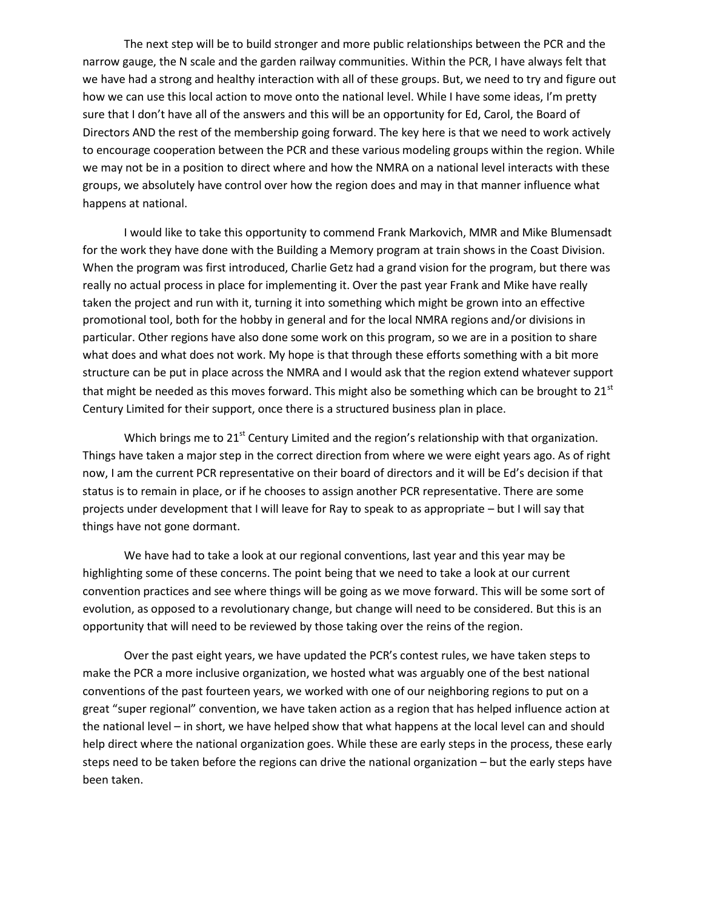The next step will be to build stronger and more public relationships between the PCR and the narrow gauge, the N scale and the garden railway communities. Within the PCR, I have always felt that we have had a strong and healthy interaction with all of these groups. But, we need to try and figure out how we can use this local action to move onto the national level. While I have some ideas, I'm pretty sure that I don't have all of the answers and this will be an opportunity for Ed, Carol, the Board of Directors AND the rest of the membership going forward. The key here is that we need to work actively to encourage cooperation between the PCR and these various modeling groups within the region. While we may not be in a position to direct where and how the NMRA on a national level interacts with these groups, we absolutely have control over how the region does and may in that manner influence what happens at national.

I would like to take this opportunity to commend Frank Markovich, MMR and Mike Blumensadt for the work they have done with the Building a Memory program at train shows in the Coast Division. When the program was first introduced, Charlie Getz had a grand vision for the program, but there was really no actual process in place for implementing it. Over the past year Frank and Mike have really taken the project and run with it, turning it into something which might be grown into an effective promotional tool, both for the hobby in general and for the local NMRA regions and/or divisions in particular. Other regions have also done some work on this program, so we are in a position to share what does and what does not work. My hope is that through these efforts something with a bit more structure can be put in place across the NMRA and I would ask that the region extend whatever support that might be needed as this moves forward. This might also be something which can be brought to  $21<sup>st</sup>$ Century Limited for their support, once there is a structured business plan in place.

Which brings me to 21<sup>st</sup> Century Limited and the region's relationship with that organization. Things have taken a major step in the correct direction from where we were eight years ago. As of right now, I am the current PCR representative on their board of directors and it will be Ed's decision if that status is to remain in place, or if he chooses to assign another PCR representative. There are some projects under development that I will leave for Ray to speak to as appropriate – but I will say that things have not gone dormant.

We have had to take a look at our regional conventions, last year and this year may be highlighting some of these concerns. The point being that we need to take a look at our current convention practices and see where things will be going as we move forward. This will be some sort of evolution, as opposed to a revolutionary change, but change will need to be considered. But this is an opportunity that will need to be reviewed by those taking over the reins of the region.

Over the past eight years, we have updated the PCR's contest rules, we have taken steps to make the PCR a more inclusive organization, we hosted what was arguably one of the best national conventions of the past fourteen years, we worked with one of our neighboring regions to put on a great "super regional" convention, we have taken action as a region that has helped influence action at the national level – in short, we have helped show that what happens at the local level can and should help direct where the national organization goes. While these are early steps in the process, these early steps need to be taken before the regions can drive the national organization – but the early steps have been taken.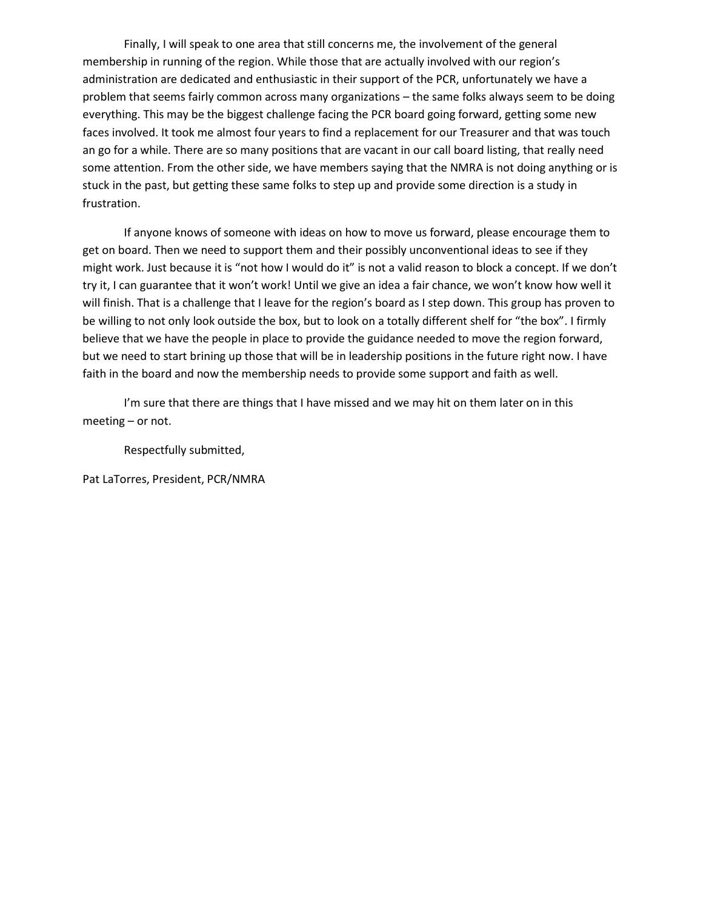Finally, I will speak to one area that still concerns me, the involvement of the general membership in running of the region. While those that are actually involved with our region's administration are dedicated and enthusiastic in their support of the PCR, unfortunately we have a problem that seems fairly common across many organizations – the same folks always seem to be doing everything. This may be the biggest challenge facing the PCR board going forward, getting some new faces involved. It took me almost four years to find a replacement for our Treasurer and that was touch an go for a while. There are so many positions that are vacant in our call board listing, that really need some attention. From the other side, we have members saying that the NMRA is not doing anything or is stuck in the past, but getting these same folks to step up and provide some direction is a study in frustration.

If anyone knows of someone with ideas on how to move us forward, please encourage them to get on board. Then we need to support them and their possibly unconventional ideas to see if they might work. Just because it is "not how I would do it" is not a valid reason to block a concept. If we don't try it, I can guarantee that it won't work! Until we give an idea a fair chance, we won't know how well it will finish. That is a challenge that I leave for the region's board as I step down. This group has proven to be willing to not only look outside the box, but to look on a totally different shelf for "the box". I firmly believe that we have the people in place to provide the guidance needed to move the region forward, but we need to start brining up those that will be in leadership positions in the future right now. I have faith in the board and now the membership needs to provide some support and faith as well.

I'm sure that there are things that I have missed and we may hit on them later on in this meeting – or not.

Respectfully submitted,

Pat LaTorres, President, PCR/NMRA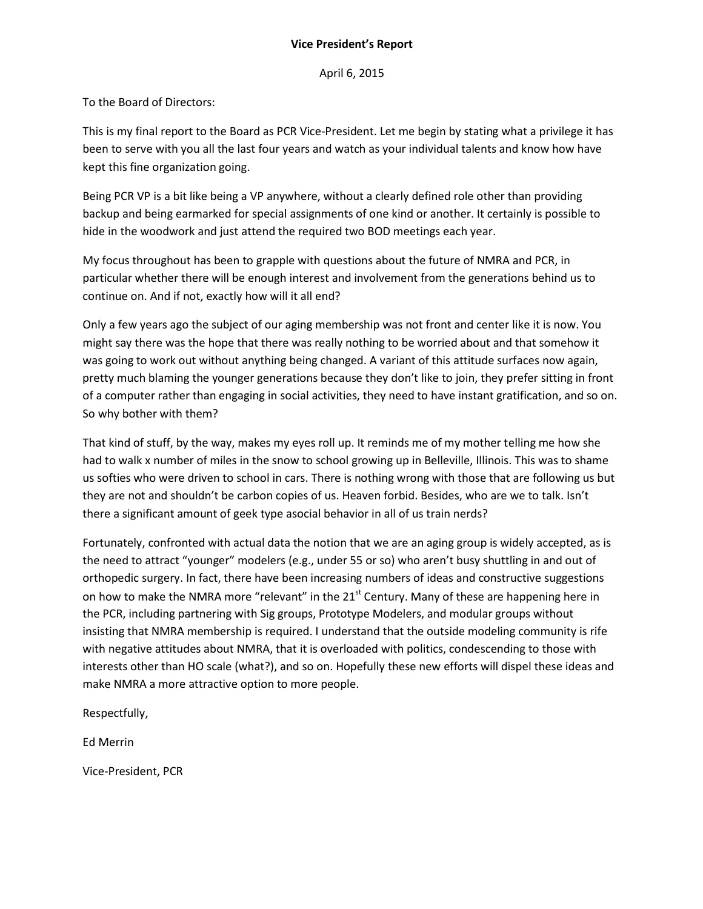### **Vice President's Report**

April 6, 2015

To the Board of Directors:

This is my final report to the Board as PCR Vice-President. Let me begin by stating what a privilege it has been to serve with you all the last four years and watch as your individual talents and know how have kept this fine organization going.

Being PCR VP is a bit like being a VP anywhere, without a clearly defined role other than providing backup and being earmarked for special assignments of one kind or another. It certainly is possible to hide in the woodwork and just attend the required two BOD meetings each year.

My focus throughout has been to grapple with questions about the future of NMRA and PCR, in particular whether there will be enough interest and involvement from the generations behind us to continue on. And if not, exactly how will it all end?

Only a few years ago the subject of our aging membership was not front and center like it is now. You might say there was the hope that there was really nothing to be worried about and that somehow it was going to work out without anything being changed. A variant of this attitude surfaces now again, pretty much blaming the younger generations because they don't like to join, they prefer sitting in front of a computer rather than engaging in social activities, they need to have instant gratification, and so on. So why bother with them?

That kind of stuff, by the way, makes my eyes roll up. It reminds me of my mother telling me how she had to walk x number of miles in the snow to school growing up in Belleville, Illinois. This was to shame us softies who were driven to school in cars. There is nothing wrong with those that are following us but they are not and shouldn't be carbon copies of us. Heaven forbid. Besides, who are we to talk. Isn't there a significant amount of geek type asocial behavior in all of us train nerds?

Fortunately, confronted with actual data the notion that we are an aging group is widely accepted, as is the need to attract "younger" modelers (e.g., under 55 or so) who aren't busy shuttling in and out of orthopedic surgery. In fact, there have been increasing numbers of ideas and constructive suggestions on how to make the NMRA more "relevant" in the 21<sup>st</sup> Century. Many of these are happening here in the PCR, including partnering with Sig groups, Prototype Modelers, and modular groups without insisting that NMRA membership is required. I understand that the outside modeling community is rife with negative attitudes about NMRA, that it is overloaded with politics, condescending to those with interests other than HO scale (what?), and so on. Hopefully these new efforts will dispel these ideas and make NMRA a more attractive option to more people.

Respectfully,

Ed Merrin

Vice-President, PCR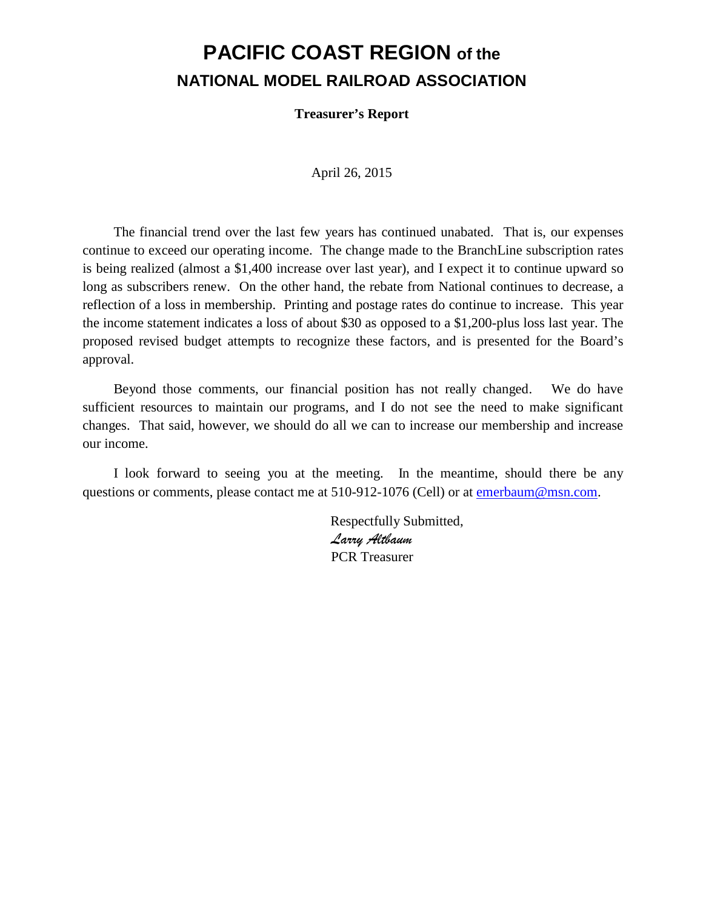# **PACIFIC COAST REGION of the NATIONAL MODEL RAILROAD ASSOCIATION**

**Treasurer's Report**

April 26, 2015

The financial trend over the last few years has continued unabated. That is, our expenses continue to exceed our operating income. The change made to the BranchLine subscription rates is being realized (almost a \$1,400 increase over last year), and I expect it to continue upward so long as subscribers renew. On the other hand, the rebate from National continues to decrease, a reflection of a loss in membership. Printing and postage rates do continue to increase. This year the income statement indicates a loss of about \$30 as opposed to a \$1,200-plus loss last year. The proposed revised budget attempts to recognize these factors, and is presented for the Board's approval.

Beyond those comments, our financial position has not really changed. We do have sufficient resources to maintain our programs, and I do not see the need to make significant changes. That said, however, we should do all we can to increase our membership and increase our income.

I look forward to seeing you at the meeting. In the meantime, should there be any questions or comments, please contact me at 510-912-1076 (Cell) or at [emerbaum@msn.com.](mailto:emerbaum@msn.com)

> Respectfully Submitted, *Larry Altbaum* PCR Treasurer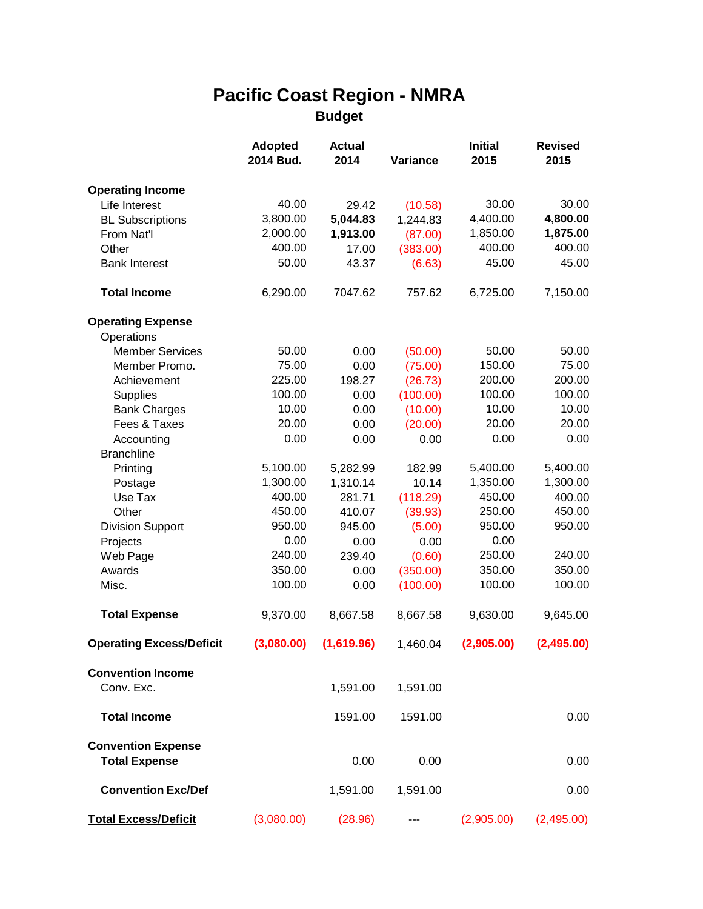# **Pacific Coast Region - NMRA Budget**

|                                      | <b>Adopted</b><br>2014 Bud. | <b>Actual</b><br>2014 | Variance            | <b>Initial</b><br>2015 | <b>Revised</b><br>2015 |
|--------------------------------------|-----------------------------|-----------------------|---------------------|------------------------|------------------------|
|                                      |                             |                       |                     |                        |                        |
| <b>Operating Income</b>              |                             |                       |                     |                        |                        |
| Life Interest                        | 40.00                       | 29.42                 | (10.58)             | 30.00                  | 30.00                  |
| <b>BL Subscriptions</b>              | 3,800.00<br>2,000.00        | 5,044.83              | 1,244.83            | 4,400.00<br>1,850.00   | 4,800.00<br>1,875.00   |
| From Nat'l<br>Other                  | 400.00                      | 1,913.00<br>17.00     | (87.00)<br>(383.00) | 400.00                 | 400.00                 |
| <b>Bank Interest</b>                 | 50.00                       | 43.37                 | (6.63)              | 45.00                  | 45.00                  |
| <b>Total Income</b>                  | 6,290.00                    | 7047.62               | 757.62              | 6,725.00               | 7,150.00               |
|                                      |                             |                       |                     |                        |                        |
| <b>Operating Expense</b>             |                             |                       |                     |                        |                        |
| Operations<br><b>Member Services</b> | 50.00                       | 0.00                  | (50.00)             | 50.00                  | 50.00                  |
| Member Promo.                        | 75.00                       | 0.00                  | (75.00)             | 150.00                 | 75.00                  |
| Achievement                          | 225.00                      | 198.27                | (26.73)             | 200.00                 | 200.00                 |
| <b>Supplies</b>                      | 100.00                      | 0.00                  | (100.00)            | 100.00                 | 100.00                 |
| <b>Bank Charges</b>                  | 10.00                       | 0.00                  | (10.00)             | 10.00                  | 10.00                  |
| Fees & Taxes                         | 20.00                       | 0.00                  | (20.00)             | 20.00                  | 20.00                  |
| Accounting                           | 0.00                        | 0.00                  | 0.00                | 0.00                   | 0.00                   |
| <b>Branchline</b>                    |                             |                       |                     |                        |                        |
| Printing                             | 5,100.00                    | 5,282.99              | 182.99              | 5,400.00               | 5,400.00               |
| Postage                              | 1,300.00                    | 1,310.14              | 10.14               | 1,350.00               | 1,300.00               |
| Use Tax                              | 400.00                      | 281.71                | (118.29)            | 450.00                 | 400.00                 |
| Other                                | 450.00                      | 410.07                | (39.93)             | 250.00                 | 450.00                 |
| <b>Division Support</b>              | 950.00                      | 945.00                | (5.00)              | 950.00                 | 950.00                 |
| Projects                             | 0.00                        | 0.00                  | 0.00                | 0.00                   |                        |
| Web Page                             | 240.00                      | 239.40                | (0.60)              | 250.00                 | 240.00                 |
| Awards                               | 350.00                      | 0.00                  | (350.00)            | 350.00                 | 350.00                 |
| Misc.                                | 100.00                      | 0.00                  | (100.00)            | 100.00                 | 100.00                 |
| <b>Total Expense</b>                 | 9,370.00                    | 8,667.58              | 8,667.58            | 9,630.00               | 9,645.00               |
| <b>Operating Excess/Deficit</b>      | (3,080.00)                  | (1,619.96)            | 1,460.04            | (2,905.00)             | (2,495.00)             |
| <b>Convention Income</b>             |                             |                       |                     |                        |                        |
| Conv. Exc.                           |                             | 1,591.00              | 1,591.00            |                        |                        |
| <b>Total Income</b>                  |                             | 1591.00               | 1591.00             |                        | 0.00                   |
| <b>Convention Expense</b>            |                             |                       |                     |                        |                        |
| <b>Total Expense</b>                 |                             | 0.00                  | 0.00                |                        | 0.00                   |
| <b>Convention Exc/Def</b>            |                             | 1,591.00              | 1,591.00            |                        | 0.00                   |
| <b>Total Excess/Deficit</b>          | (3,080.00)                  | (28.96)               |                     | (2,905.00)             | (2,495.00)             |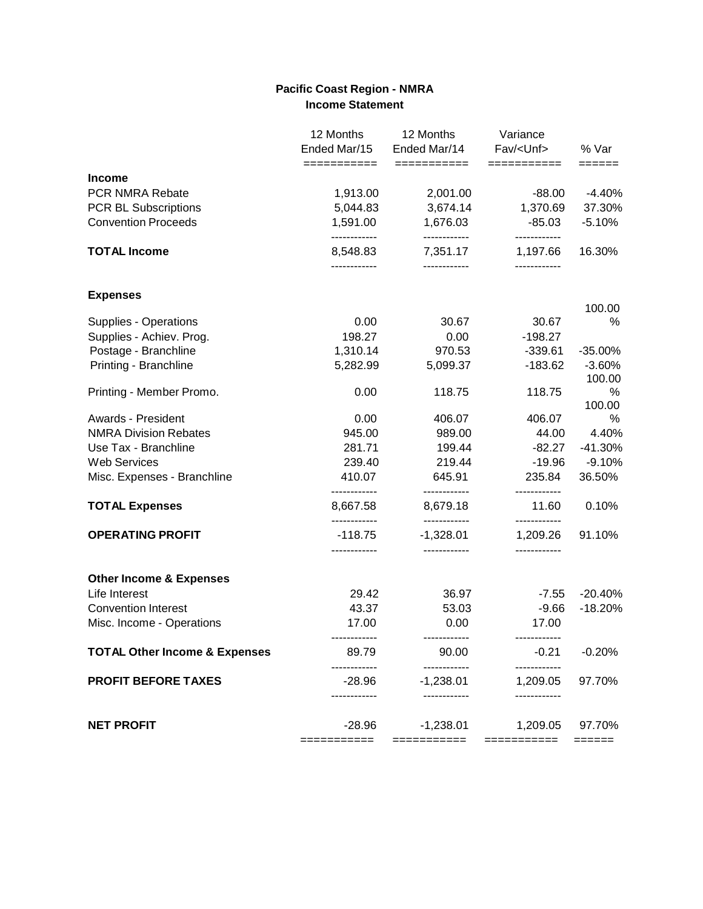### **Pacific Coast Region - NMRA Income Statement**

| ===========<br>===========<br><b>Income</b><br>PCR NMRA Rebate<br>1,913.00<br>2,001.00<br>3,674.14<br><b>PCR BL Subscriptions</b><br>5,044.83<br>1,591.00<br><b>Convention Proceeds</b><br>1,676.03<br>------------<br>------------<br><b>TOTAL Income</b><br>8,548.83<br>7,351.17<br>------------<br>------------<br><b>Expenses</b> | ===========<br>$-88.00$<br>1,370.69<br>$-85.03$<br>------------<br>1,197.66<br>------------<br>30.67<br>$-198.27$ | ======<br>$-4.40%$<br>37.30%<br>$-5.10%$<br>16.30%<br>100.00<br>$\%$ |
|---------------------------------------------------------------------------------------------------------------------------------------------------------------------------------------------------------------------------------------------------------------------------------------------------------------------------------------|-------------------------------------------------------------------------------------------------------------------|----------------------------------------------------------------------|
|                                                                                                                                                                                                                                                                                                                                       |                                                                                                                   |                                                                      |
|                                                                                                                                                                                                                                                                                                                                       |                                                                                                                   |                                                                      |
|                                                                                                                                                                                                                                                                                                                                       |                                                                                                                   |                                                                      |
|                                                                                                                                                                                                                                                                                                                                       |                                                                                                                   |                                                                      |
|                                                                                                                                                                                                                                                                                                                                       |                                                                                                                   |                                                                      |
|                                                                                                                                                                                                                                                                                                                                       |                                                                                                                   |                                                                      |
|                                                                                                                                                                                                                                                                                                                                       |                                                                                                                   |                                                                      |
| 0.00<br>30.67<br>Supplies - Operations                                                                                                                                                                                                                                                                                                |                                                                                                                   |                                                                      |
| 198.27<br>Supplies - Achiev. Prog.<br>0.00<br>Postage - Branchline<br>1,310.14<br>970.53                                                                                                                                                                                                                                              | $-339.61$                                                                                                         | $-35.00%$                                                            |
| Printing - Branchline<br>5,282.99<br>5,099.37                                                                                                                                                                                                                                                                                         | $-183.62$                                                                                                         | $-3.60%$                                                             |
|                                                                                                                                                                                                                                                                                                                                       |                                                                                                                   | 100.00                                                               |
| Printing - Member Promo.<br>0.00<br>118.75                                                                                                                                                                                                                                                                                            | 118.75                                                                                                            | %                                                                    |
|                                                                                                                                                                                                                                                                                                                                       |                                                                                                                   | 100.00                                                               |
| Awards - President<br>0.00<br>406.07                                                                                                                                                                                                                                                                                                  | 406.07                                                                                                            | ℅                                                                    |
| <b>NMRA Division Rebates</b><br>945.00<br>989.00                                                                                                                                                                                                                                                                                      | 44.00                                                                                                             | 4.40%                                                                |
| Use Tax - Branchline<br>281.71<br>199.44                                                                                                                                                                                                                                                                                              | $-82.27$                                                                                                          | $-41.30%$                                                            |
| <b>Web Services</b><br>239.40<br>219.44                                                                                                                                                                                                                                                                                               | $-19.96$                                                                                                          | $-9.10%$                                                             |
| Misc. Expenses - Branchline<br>410.07<br>645.91<br>------------<br>------------                                                                                                                                                                                                                                                       | 235.84                                                                                                            | 36.50%                                                               |
| 8,667.58<br><b>TOTAL Expenses</b><br>8,679.18<br>------------<br>------------                                                                                                                                                                                                                                                         | 11.60<br>------------                                                                                             | 0.10%                                                                |
| <b>OPERATING PROFIT</b><br>$-118.75$<br>$-1,328.01$<br>------------<br>------------                                                                                                                                                                                                                                                   | 1,209.26<br>------------                                                                                          | 91.10%                                                               |
| <b>Other Income &amp; Expenses</b>                                                                                                                                                                                                                                                                                                    |                                                                                                                   |                                                                      |
| Life Interest<br>29.42<br>36.97                                                                                                                                                                                                                                                                                                       | $-7.55$                                                                                                           | $-20.40%$                                                            |
| 43.37<br><b>Convention Interest</b><br>53.03                                                                                                                                                                                                                                                                                          | $-9.66$                                                                                                           | $-18.20%$                                                            |
| Misc. Income - Operations<br>17.00<br>0.00<br>------------<br>------------                                                                                                                                                                                                                                                            | 17.00                                                                                                             |                                                                      |
| <b>TOTAL Other Income &amp; Expenses</b><br>89.79<br>90.00                                                                                                                                                                                                                                                                            | $-0.21$                                                                                                           | $-0.20%$                                                             |
| <b>PROFIT BEFORE TAXES</b><br>$-1,238.01$<br>$-28.96$<br>---------<br>------------                                                                                                                                                                                                                                                    | 1,209.05                                                                                                          | 97.70%                                                               |
| <b>NET PROFIT</b><br>$-28.96$<br>$-1,238.01$                                                                                                                                                                                                                                                                                          | 1,209.05                                                                                                          | 97.70%                                                               |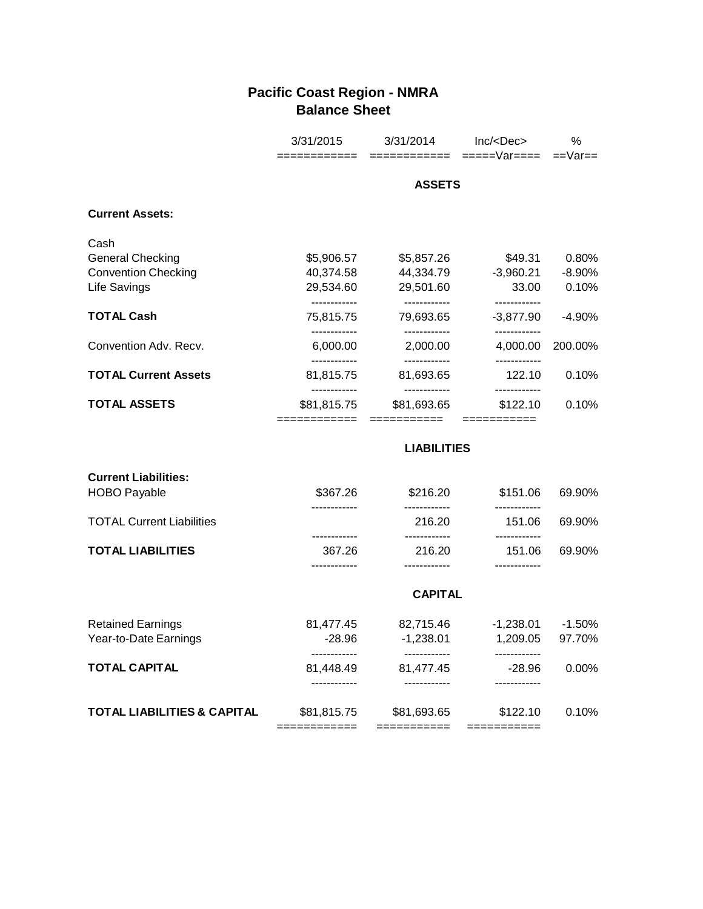# **Pacific Coast Region - NMRA Balance Sheet**

|                                        | 3/31/2015                                   | 3/31/2014                                  | Inc/ <dec></dec>                        | %         |
|----------------------------------------|---------------------------------------------|--------------------------------------------|-----------------------------------------|-----------|
|                                        |                                             | ============                               | =====Var====                            | $==Var==$ |
|                                        | <b>ASSETS</b>                               |                                            |                                         |           |
| <b>Current Assets:</b>                 |                                             |                                            |                                         |           |
| Cash                                   |                                             |                                            |                                         |           |
| <b>General Checking</b>                | \$5,906.57                                  | \$5,857.26                                 | \$49.31                                 | 0.80%     |
| <b>Convention Checking</b>             | 40,374.58                                   | 44,334.79                                  | $-3,960.21$                             | $-8.90%$  |
| <b>Life Savings</b>                    | 29,534.60<br>------------                   | 29,501.60<br>------------                  | 33.00                                   | 0.10%     |
| <b>TOTAL Cash</b>                      | 75,815.75                                   | 79,693.65                                  | ------------<br>$-3,877.90$             | $-4.90%$  |
| Convention Adv. Recv.                  | 6,000.00                                    | ------------<br>2,000.00                   | ------------<br>4,000.00                | 200.00%   |
| <b>TOTAL Current Assets</b>            | ------------<br>81,815.75                   | ------------<br>81,693.65                  | ------------<br>122.10                  | 0.10%     |
| <b>TOTAL ASSETS</b>                    | ------------<br>\$81,815.75<br>============ | ------------<br>\$81,693.65<br>=========== | ------------<br>\$122.10<br>=========== | 0.10%     |
|                                        |                                             | <b>LIABILITIES</b>                         |                                         |           |
| <b>Current Liabilities:</b>            |                                             |                                            |                                         |           |
| <b>HOBO Payable</b>                    | \$367.26<br>------------                    | \$216.20<br>------------                   | \$151.06                                | 69.90%    |
| <b>TOTAL Current Liabilities</b>       |                                             | 216.20<br>------------                     | 151.06                                  | 69.90%    |
| <b>TOTAL LIABILITIES</b>               | 367.26<br>                                  | 216.20<br>------------                     | 151.06                                  | 69.90%    |
|                                        |                                             | <b>CAPITAL</b>                             |                                         |           |
|                                        |                                             |                                            |                                         |           |
| <b>Retained Earnings</b>               | 81,477.45                                   | 82,715.46                                  | $-1,238.01$                             | $-1.50%$  |
| Year-to-Date Earnings                  | $-28.96$<br>------------                    | $-1,238.01$<br>------------                | 1,209.05<br>------------                | 97.70%    |
| <b>TOTAL CAPITAL</b>                   | 81,448.49<br>------------                   | 81,477.45                                  | $-28.96$                                | 0.00%     |
| <b>TOTAL LIABILITIES &amp; CAPITAL</b> | \$81,815.75                                 | \$81,693.65                                | \$122.10                                | 0.10%     |
|                                        | ============                                | ===========                                | ===========                             |           |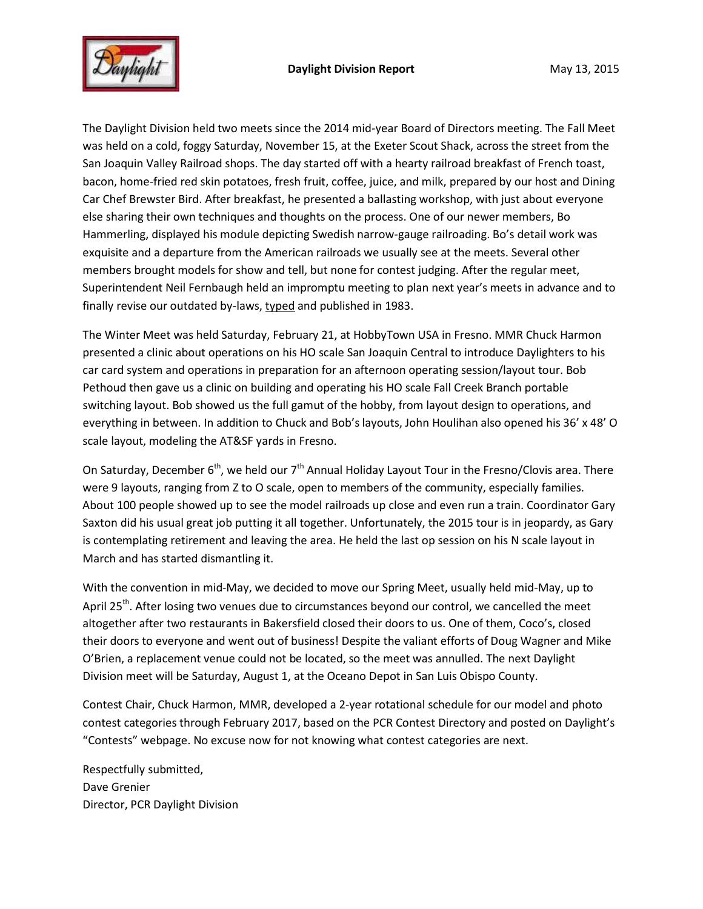

The Daylight Division held two meets since the 2014 mid-year Board of Directors meeting. The Fall Meet was held on a cold, foggy Saturday, November 15, at the Exeter Scout Shack, across the street from the San Joaquin Valley Railroad shops. The day started off with a hearty railroad breakfast of French toast, bacon, home-fried red skin potatoes, fresh fruit, coffee, juice, and milk, prepared by our host and Dining Car Chef Brewster Bird. After breakfast, he presented a ballasting workshop, with just about everyone else sharing their own techniques and thoughts on the process. One of our newer members, Bo Hammerling, displayed his module depicting Swedish narrow-gauge railroading. Bo's detail work was exquisite and a departure from the American railroads we usually see at the meets. Several other members brought models for show and tell, but none for contest judging. After the regular meet, Superintendent Neil Fernbaugh held an impromptu meeting to plan next year's meets in advance and to finally revise our outdated by-laws, typed and published in 1983.

The Winter Meet was held Saturday, February 21, at HobbyTown USA in Fresno. MMR Chuck Harmon presented a clinic about operations on his HO scale San Joaquin Central to introduce Daylighters to his car card system and operations in preparation for an afternoon operating session/layout tour. Bob Pethoud then gave us a clinic on building and operating his HO scale Fall Creek Branch portable switching layout. Bob showed us the full gamut of the hobby, from layout design to operations, and everything in between. In addition to Chuck and Bob's layouts, John Houlihan also opened his 36' x 48' O scale layout, modeling the AT&SF yards in Fresno.

On Saturday, December  $6<sup>th</sup>$ , we held our  $7<sup>th</sup>$  Annual Holiday Layout Tour in the Fresno/Clovis area. There were 9 layouts, ranging from Z to O scale, open to members of the community, especially families. About 100 people showed up to see the model railroads up close and even run a train. Coordinator Gary Saxton did his usual great job putting it all together. Unfortunately, the 2015 tour is in jeopardy, as Gary is contemplating retirement and leaving the area. He held the last op session on his N scale layout in March and has started dismantling it.

With the convention in mid-May, we decided to move our Spring Meet, usually held mid-May, up to April 25<sup>th</sup>. After losing two venues due to circumstances beyond our control, we cancelled the meet altogether after two restaurants in Bakersfield closed their doors to us. One of them, Coco's, closed their doors to everyone and went out of business! Despite the valiant efforts of Doug Wagner and Mike O'Brien, a replacement venue could not be located, so the meet was annulled. The next Daylight Division meet will be Saturday, August 1, at the Oceano Depot in San Luis Obispo County.

Contest Chair, Chuck Harmon, MMR, developed a 2-year rotational schedule for our model and photo contest categories through February 2017, based on the PCR Contest Directory and posted on Daylight's "Contests" webpage. No excuse now for not knowing what contest categories are next.

Respectfully submitted, Dave Grenier Director, PCR Daylight Division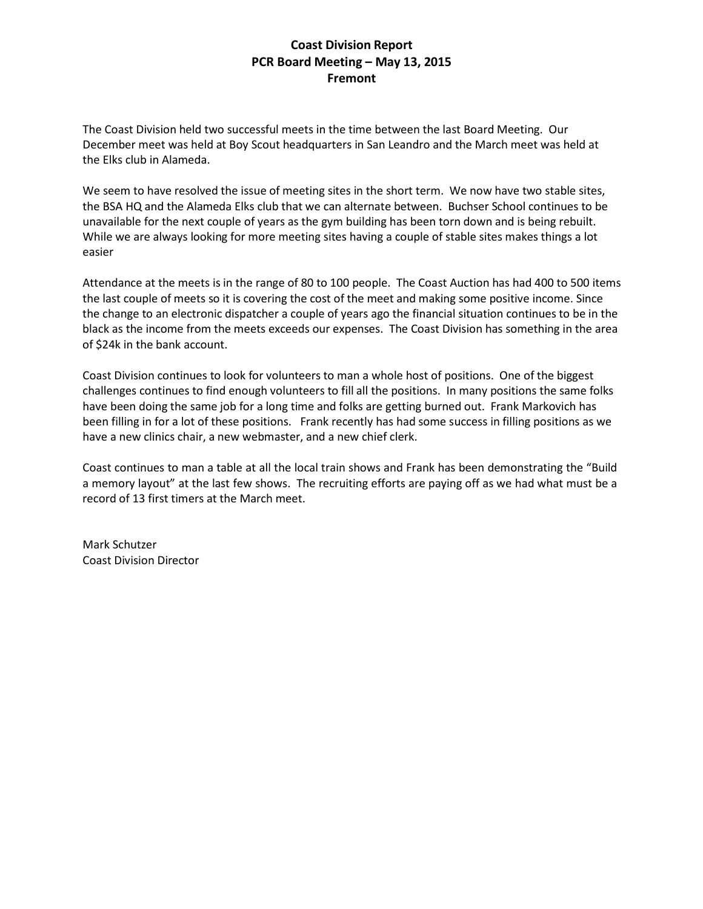### **Coast Division Report PCR Board Meeting – May 13, 2015 Fremont**

The Coast Division held two successful meets in the time between the last Board Meeting. Our December meet was held at Boy Scout headquarters in San Leandro and the March meet was held at the Elks club in Alameda.

We seem to have resolved the issue of meeting sites in the short term. We now have two stable sites, the BSA HQ and the Alameda Elks club that we can alternate between. Buchser School continues to be unavailable for the next couple of years as the gym building has been torn down and is being rebuilt. While we are always looking for more meeting sites having a couple of stable sites makes things a lot easier

Attendance at the meets is in the range of 80 to 100 people. The Coast Auction has had 400 to 500 items the last couple of meets so it is covering the cost of the meet and making some positive income. Since the change to an electronic dispatcher a couple of years ago the financial situation continues to be in the black as the income from the meets exceeds our expenses. The Coast Division has something in the area of \$24k in the bank account.

Coast Division continues to look for volunteers to man a whole host of positions. One of the biggest challenges continues to find enough volunteers to fill all the positions. In many positions the same folks have been doing the same job for a long time and folks are getting burned out. Frank Markovich has been filling in for a lot of these positions. Frank recently has had some success in filling positions as we have a new clinics chair, a new webmaster, and a new chief clerk.

Coast continues to man a table at all the local train shows and Frank has been demonstrating the "Build a memory layout" at the last few shows. The recruiting efforts are paying off as we had what must be a record of 13 first timers at the March meet.

Mark Schutzer Coast Division Director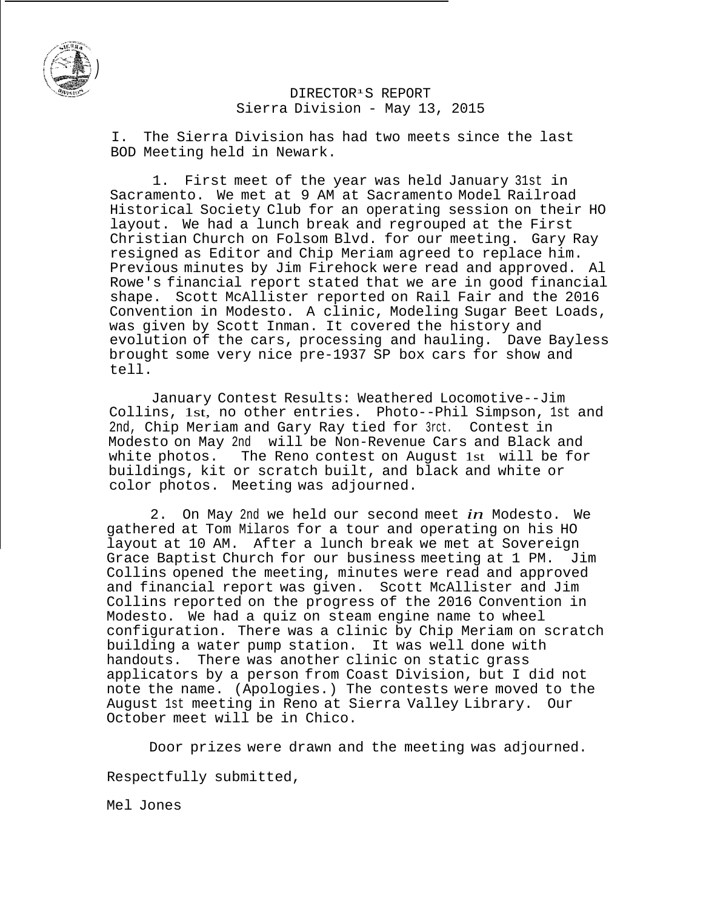

### DIRECTOR<sup>1</sup> S REPORT Sierra Division - May 13, 2015

I. The Sierra Division has had two meets since the last BOD Meeting held in Newark.

1. First meet of the year was held January 31st in Sacramento. We met at 9 AM at Sacramento Model Railroad Historical Society Club for an operating session on their HO layout. We had a lunch break and regrouped at the First Christian Church on Folsom Blvd. for our meeting. Gary Ray resigned as Editor and Chip Meriam agreed to replace him. Previous minutes by Jim Firehock were read and approved. Al Rowe's financial report stated that we are in good financial shape. Scott McAllister reported on Rail Fair and the 2016 Convention in Modesto. A clinic, Modeling Sugar Beet Loads, was given by Scott Inman. It covered the history and evolution of the cars, processing and hauling. Dave Bayless brought some very nice pre-1937 SP box cars for show and tell.

January Contest Results: Weathered Locomotive--Jim Collins, 1st, no other entries. Photo--Phil Simpson, 1st and 2nd, Chip Meriam and Gary Ray tied for 3rct. Contest in Modesto on May 2nd will be Non-Revenue Cars and Black and white photos. The Reno contest on August 1st will be for buildings, kit or scratch built, and black and white or color photos. Meeting was adjourned.

2. On May 2nd we held our second meet *in* Modesto. We gathered at Tom Milaros for a tour and operating on his HO layout at 10 AM. After a lunch break we met at Sovereign Grace Baptist Church for our business meeting at 1 PM. Jim Collins opened the meeting, minutes were read and approved and financial report was given. Scott McAllister and Jim Collins reported on the progress of the 2016 Convention in Modesto. We had a quiz on steam engine name to wheel configuration. There was a clinic by Chip Meriam on scratch building a water pump station. It was well done with handouts. There was another clinic on static grass applicators by a person from Coast Division, but I did not note the name. (Apologies.) The contests were moved to the August 1st meeting in Reno at Sierra Valley Library. Our October meet will be in Chico.

Door prizes were drawn and the meeting was adjourned.

Respectfully submitted,

Mel Jones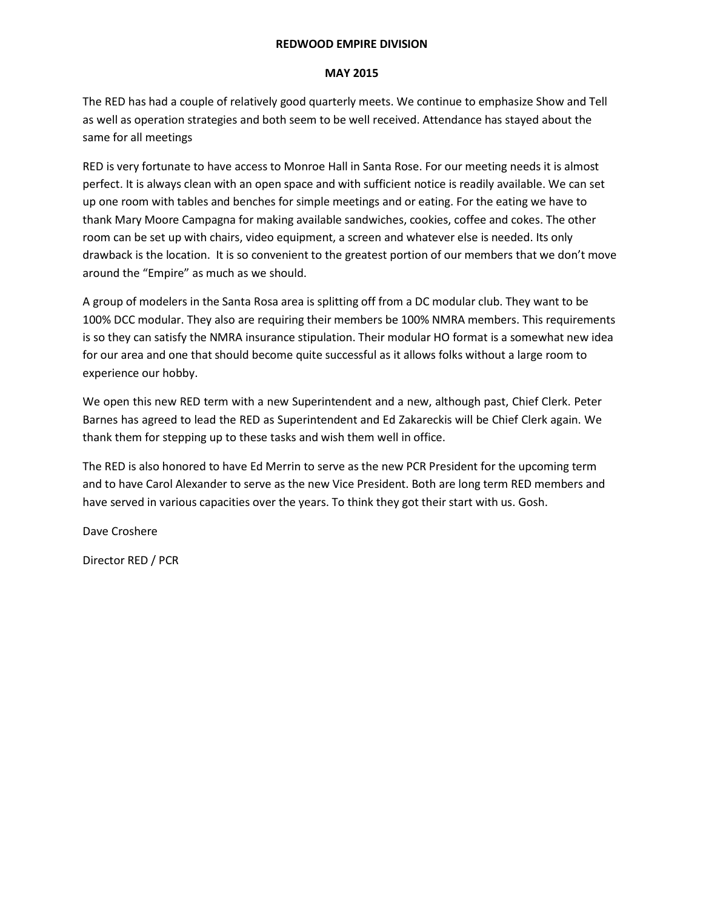### **REDWOOD EMPIRE DIVISION**

#### **MAY 2015**

The RED has had a couple of relatively good quarterly meets. We continue to emphasize Show and Tell as well as operation strategies and both seem to be well received. Attendance has stayed about the same for all meetings

RED is very fortunate to have access to Monroe Hall in Santa Rose. For our meeting needs it is almost perfect. It is always clean with an open space and with sufficient notice is readily available. We can set up one room with tables and benches for simple meetings and or eating. For the eating we have to thank Mary Moore Campagna for making available sandwiches, cookies, coffee and cokes. The other room can be set up with chairs, video equipment, a screen and whatever else is needed. Its only drawback is the location. It is so convenient to the greatest portion of our members that we don't move around the "Empire" as much as we should.

A group of modelers in the Santa Rosa area is splitting off from a DC modular club. They want to be 100% DCC modular. They also are requiring their members be 100% NMRA members. This requirements is so they can satisfy the NMRA insurance stipulation. Their modular HO format is a somewhat new idea for our area and one that should become quite successful as it allows folks without a large room to experience our hobby.

We open this new RED term with a new Superintendent and a new, although past, Chief Clerk. Peter Barnes has agreed to lead the RED as Superintendent and Ed Zakareckis will be Chief Clerk again. We thank them for stepping up to these tasks and wish them well in office.

The RED is also honored to have Ed Merrin to serve as the new PCR President for the upcoming term and to have Carol Alexander to serve as the new Vice President. Both are long term RED members and have served in various capacities over the years. To think they got their start with us. Gosh.

Dave Croshere

Director RED / PCR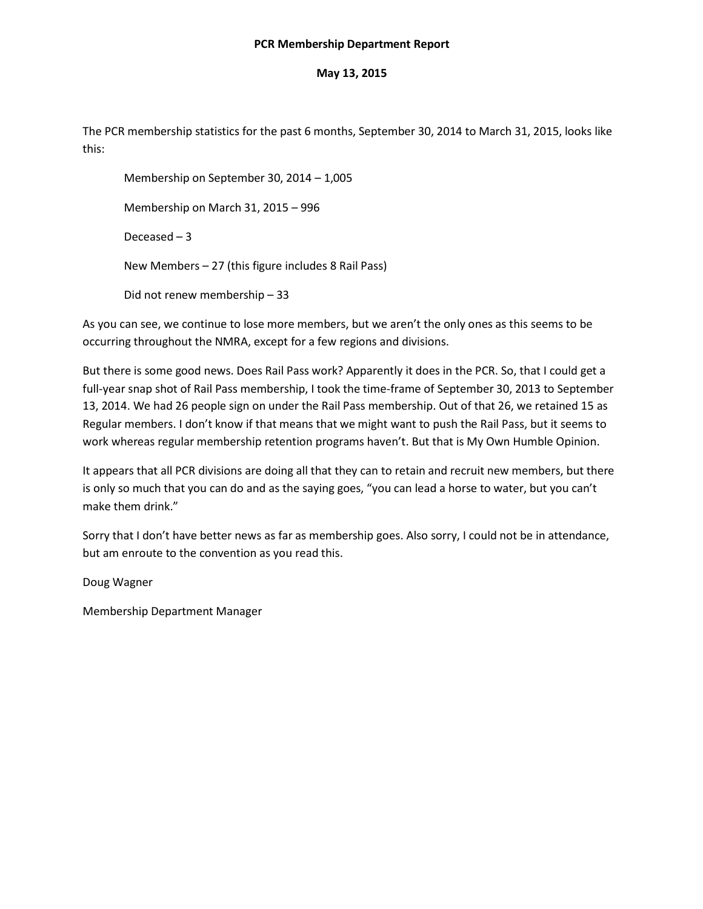#### **PCR Membership Department Report**

### **May 13, 2015**

The PCR membership statistics for the past 6 months, September 30, 2014 to March 31, 2015, looks like this:

Membership on September 30, 2014 – 1,005 Membership on March 31, 2015 – 996 Deceased – 3 New Members – 27 (this figure includes 8 Rail Pass) Did not renew membership – 33

As you can see, we continue to lose more members, but we aren't the only ones as this seems to be occurring throughout the NMRA, except for a few regions and divisions.

But there is some good news. Does Rail Pass work? Apparently it does in the PCR. So, that I could get a full-year snap shot of Rail Pass membership, I took the time-frame of September 30, 2013 to September 13, 2014. We had 26 people sign on under the Rail Pass membership. Out of that 26, we retained 15 as Regular members. I don't know if that means that we might want to push the Rail Pass, but it seems to work whereas regular membership retention programs haven't. But that is My Own Humble Opinion.

It appears that all PCR divisions are doing all that they can to retain and recruit new members, but there is only so much that you can do and as the saying goes, "you can lead a horse to water, but you can't make them drink."

Sorry that I don't have better news as far as membership goes. Also sorry, I could not be in attendance, but am enroute to the convention as you read this.

Doug Wagner

Membership Department Manager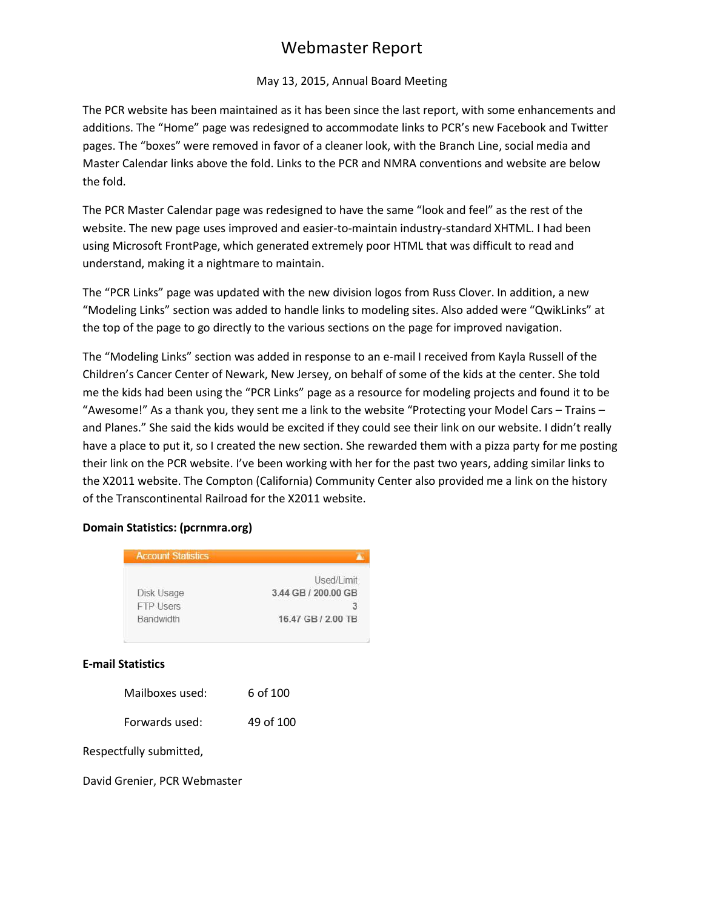# Webmaster Report

### May 13, 2015, Annual Board Meeting

The PCR website has been maintained as it has been since the last report, with some enhancements and additions. The "Home" page was redesigned to accommodate links to PCR's new Facebook and Twitter pages. The "boxes" were removed in favor of a cleaner look, with the Branch Line, social media and Master Calendar links above the fold. Links to the PCR and NMRA conventions and website are below the fold.

The PCR Master Calendar page was redesigned to have the same "look and feel" as the rest of the website. The new page uses improved and easier-to-maintain industry-standard XHTML. I had been using Microsoft FrontPage, which generated extremely poor HTML that was difficult to read and understand, making it a nightmare to maintain.

The "PCR Links" page was updated with the new division logos from Russ Clover. In addition, a new "Modeling Links" section was added to handle links to modeling sites. Also added were "QwikLinks" at the top of the page to go directly to the various sections on the page for improved navigation.

The "Modeling Links" section was added in response to an e-mail I received from Kayla Russell of the Children's Cancer Center of Newark, New Jersey, on behalf of some of the kids at the center. She told me the kids had been using the "PCR Links" page as a resource for modeling projects and found it to be "Awesome!" As a thank you, they sent me a link to the website "Protecting your Model Cars – Trains – and Planes." She said the kids would be excited if they could see their link on our website. I didn't really have a place to put it, so I created the new section. She rewarded them with a pizza party for me posting their link on the PCR website. I've been working with her for the past two years, adding similar links to the X2011 website. The Compton (California) Community Center also provided me a link on the history of the Transcontinental Railroad for the X2011 website.

### **Domain Statistics: (pcrnmra.org)**

| <b>Account Statistics</b>                   |                                                              |  |  |
|---------------------------------------------|--------------------------------------------------------------|--|--|
| Disk Usage<br><b>FTP Users</b><br>Bandwidth | Used/Limit<br>3.44 GB / 200.00 GB<br>3<br>16.47 GB / 2.00 TB |  |  |
| <b>E-mail Statistics</b>                    |                                                              |  |  |
| Mailboxes used:                             | 6 of 100                                                     |  |  |
| Forwards used:                              | 49 of 100                                                    |  |  |
| Respectfully submitted,                     |                                                              |  |  |

David Grenier, PCR Webmaster